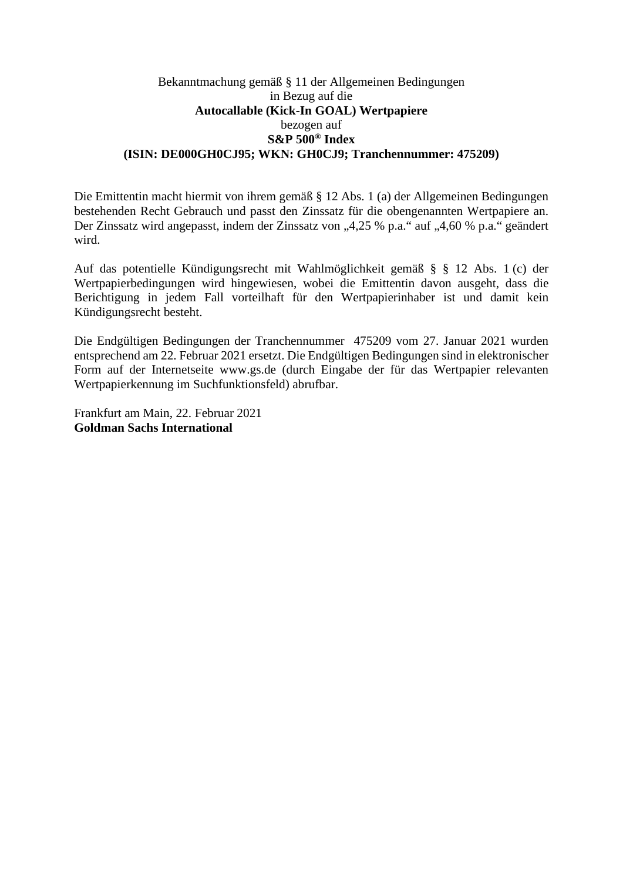## Bekanntmachung gemäß § 11 der Allgemeinen Bedingungen in Bezug auf die **Autocallable (Kick-In GOAL) Wertpapiere**  bezogen auf **S&P 500® Index (ISIN: DE000GH0CJ95; WKN: GH0CJ9; Tranchennummer: 475209)**

Die Emittentin macht hiermit von ihrem gemäß § 12 Abs. 1 (a) der Allgemeinen Bedingungen bestehenden Recht Gebrauch und passt den Zinssatz für die obengenannten Wertpapiere an. Der Zinssatz wird angepasst, indem der Zinssatz von "4,25 % p.a." auf "4,60 % p.a." geändert wird.

Auf das potentielle Kündigungsrecht mit Wahlmöglichkeit gemäß § § 12 Abs. 1 (c) der Wertpapierbedingungen wird hingewiesen, wobei die Emittentin davon ausgeht, dass die Berichtigung in jedem Fall vorteilhaft für den Wertpapierinhaber ist und damit kein Kündigungsrecht besteht.

Die Endgültigen Bedingungen der Tranchennummer 475209 vom 27. Januar 2021 wurden entsprechend am 22. Februar 2021 ersetzt. Die Endgültigen Bedingungen sind in elektronischer Form auf der Internetseite www.gs.de (durch Eingabe der für das Wertpapier relevanten Wertpapierkennung im Suchfunktionsfeld) abrufbar.

Frankfurt am Main, 22. Februar 2021 **Goldman Sachs International**